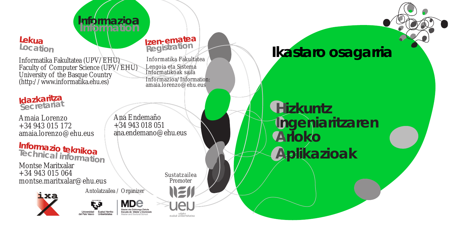# **Informazioa Information**

# **Lekua**

Informatika Fakultatea (UPV/EHU) Faculty of Computer Science (UPV/EHU) University of the Basque Country (http://www.informatika.ehu.es)

**Idazkaritza Secretariat**

Amaia Lorenzo +34 943 015 172 amaia.lorenzo@ehu.eus

Montse Maritxalar +34 943 015 064 montse.maritxalar@ehu.eus **Informazio teknikoa Technical information**

ixa

Informatikoak saila Informazioa/Information: amaia.lorenzo@ehu.eus

Ana Endemaño +34 943 018 051 ana.endemano@ehu.eus

> Sustatzailea Promoter

Informatika Fakultatea

**Location Izen-ematea Registration**

Lengoia eta Sistema

**Ikastaro osagarria**

**Hizkuntz Ingeniaritzaren Arloko Aplikazioak**

ster eta Doktorego Eskola Universidad Euskal Herriko Escuela de Máster y Doctorado

Antolatzailea / Organizer

udako<br>euskal unibertsitatea